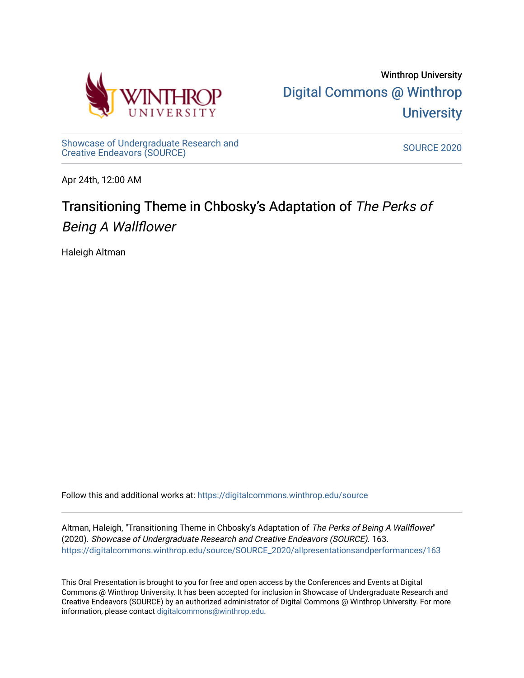

[Showcase of Undergraduate Research and](https://digitalcommons.winthrop.edu/source) Showcase of Ondergraduate Research and Source Source Source 2020<br>Creative Endeavors (SOURCE)

Apr 24th, 12:00 AM

# Transitioning Theme in Chbosky's Adaptation of The Perks of Being A Wallflower

Haleigh Altman

Follow this and additional works at: [https://digitalcommons.winthrop.edu/source](https://digitalcommons.winthrop.edu/source?utm_source=digitalcommons.winthrop.edu%2Fsource%2FSOURCE_2020%2Fallpresentationsandperformances%2F163&utm_medium=PDF&utm_campaign=PDFCoverPages)

Altman, Haleigh, "Transitioning Theme in Chbosky's Adaptation of The Perks of Being A Wallflower" (2020). Showcase of Undergraduate Research and Creative Endeavors (SOURCE). 163. [https://digitalcommons.winthrop.edu/source/SOURCE\\_2020/allpresentationsandperformances/163](https://digitalcommons.winthrop.edu/source/SOURCE_2020/allpresentationsandperformances/163?utm_source=digitalcommons.winthrop.edu%2Fsource%2FSOURCE_2020%2Fallpresentationsandperformances%2F163&utm_medium=PDF&utm_campaign=PDFCoverPages)

This Oral Presentation is brought to you for free and open access by the Conferences and Events at Digital Commons @ Winthrop University. It has been accepted for inclusion in Showcase of Undergraduate Research and Creative Endeavors (SOURCE) by an authorized administrator of Digital Commons @ Winthrop University. For more information, please contact [digitalcommons@winthrop.edu.](mailto:digitalcommons@winthrop.edu)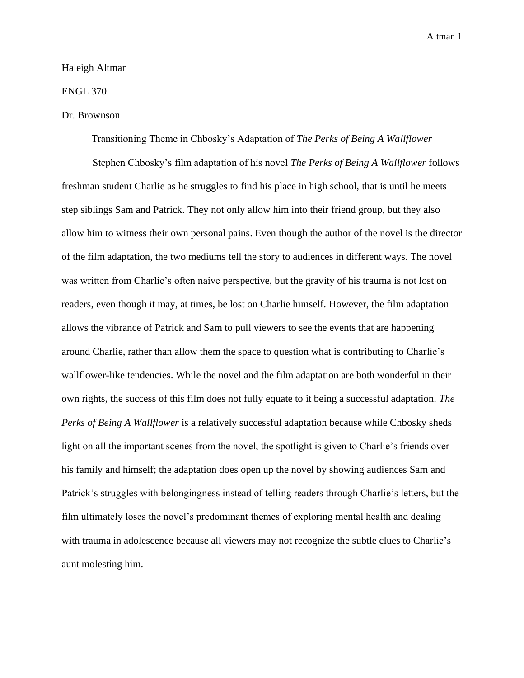### Haleigh Altman

## ENGL 370

## Dr. Brownson

Transitioning Theme in Chbosky's Adaptation of *The Perks of Being A Wallflower*

Stephen Chbosky's film adaptation of his novel *The Perks of Being A Wallflower* follows freshman student Charlie as he struggles to find his place in high school, that is until he meets step siblings Sam and Patrick. They not only allow him into their friend group, but they also allow him to witness their own personal pains. Even though the author of the novel is the director of the film adaptation, the two mediums tell the story to audiences in different ways. The novel was written from Charlie's often naive perspective, but the gravity of his trauma is not lost on readers, even though it may, at times, be lost on Charlie himself. However, the film adaptation allows the vibrance of Patrick and Sam to pull viewers to see the events that are happening around Charlie, rather than allow them the space to question what is contributing to Charlie's wallflower-like tendencies. While the novel and the film adaptation are both wonderful in their own rights, the success of this film does not fully equate to it being a successful adaptation. *The Perks of Being A Wallflower* is a relatively successful adaptation because while Chbosky sheds light on all the important scenes from the novel, the spotlight is given to Charlie's friends over his family and himself; the adaptation does open up the novel by showing audiences Sam and Patrick's struggles with belongingness instead of telling readers through Charlie's letters, but the film ultimately loses the novel's predominant themes of exploring mental health and dealing with trauma in adolescence because all viewers may not recognize the subtle clues to Charlie's aunt molesting him.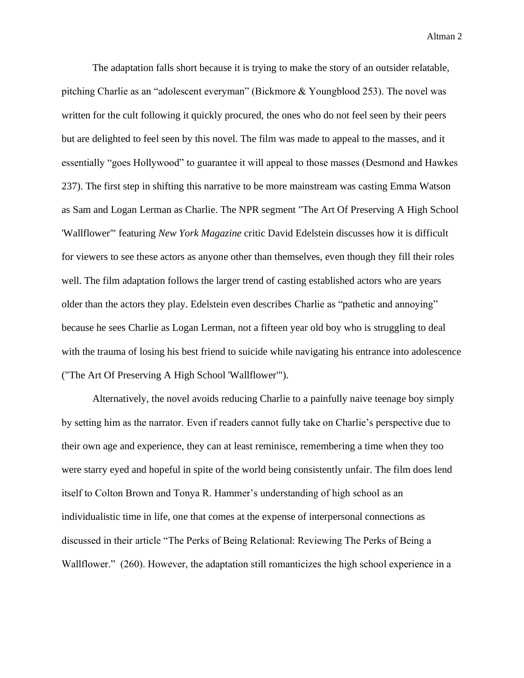The adaptation falls short because it is trying to make the story of an outsider relatable, pitching Charlie as an "adolescent everyman" (Bickmore & Youngblood 253). The novel was written for the cult following it quickly procured, the ones who do not feel seen by their peers but are delighted to feel seen by this novel. The film was made to appeal to the masses, and it essentially "goes Hollywood" to guarantee it will appeal to those masses (Desmond and Hawkes 237). The first step in shifting this narrative to be more mainstream was casting Emma Watson as Sam and Logan Lerman as Charlie. The NPR segment "The Art Of Preserving A High School 'Wallflower'" featuring *New York Magazine* critic David Edelstein discusses how it is difficult for viewers to see these actors as anyone other than themselves, even though they fill their roles well. The film adaptation follows the larger trend of casting established actors who are years older than the actors they play. Edelstein even describes Charlie as "pathetic and annoying" because he sees Charlie as Logan Lerman, not a fifteen year old boy who is struggling to deal with the trauma of losing his best friend to suicide while navigating his entrance into adolescence ("The Art Of Preserving A High School 'Wallflower'").

Alternatively, the novel avoids reducing Charlie to a painfully naive teenage boy simply by setting him as the narrator. Even if readers cannot fully take on Charlie's perspective due to their own age and experience, they can at least reminisce, remembering a time when they too were starry eyed and hopeful in spite of the world being consistently unfair. The film does lend itself to Colton Brown and Tonya R. Hammer's understanding of high school as an individualistic time in life, one that comes at the expense of interpersonal connections as discussed in their article "The Perks of Being Relational: Reviewing The Perks of Being a Wallflower." (260). However, the adaptation still romanticizes the high school experience in a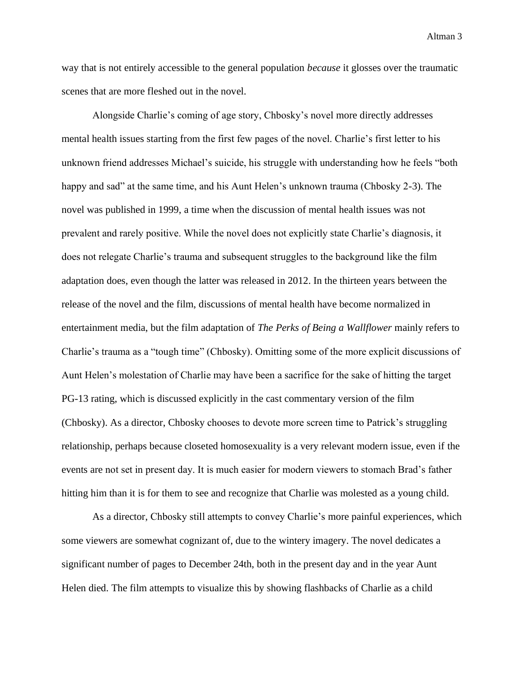way that is not entirely accessible to the general population *because* it glosses over the traumatic scenes that are more fleshed out in the novel.

Alongside Charlie's coming of age story, Chbosky's novel more directly addresses mental health issues starting from the first few pages of the novel. Charlie's first letter to his unknown friend addresses Michael's suicide, his struggle with understanding how he feels "both happy and sad" at the same time, and his Aunt Helen's unknown trauma (Chbosky 2-3). The novel was published in 1999, a time when the discussion of mental health issues was not prevalent and rarely positive. While the novel does not explicitly state Charlie's diagnosis, it does not relegate Charlie's trauma and subsequent struggles to the background like the film adaptation does, even though the latter was released in 2012. In the thirteen years between the release of the novel and the film, discussions of mental health have become normalized in entertainment media, but the film adaptation of *The Perks of Being a Wallflower* mainly refers to Charlie's trauma as a "tough time" (Chbosky). Omitting some of the more explicit discussions of Aunt Helen's molestation of Charlie may have been a sacrifice for the sake of hitting the target PG-13 rating, which is discussed explicitly in the cast commentary version of the film (Chbosky). As a director, Chbosky chooses to devote more screen time to Patrick's struggling relationship, perhaps because closeted homosexuality is a very relevant modern issue, even if the events are not set in present day. It is much easier for modern viewers to stomach Brad's father hitting him than it is for them to see and recognize that Charlie was molested as a young child.

As a director, Chbosky still attempts to convey Charlie's more painful experiences, which some viewers are somewhat cognizant of, due to the wintery imagery. The novel dedicates a significant number of pages to December 24th, both in the present day and in the year Aunt Helen died. The film attempts to visualize this by showing flashbacks of Charlie as a child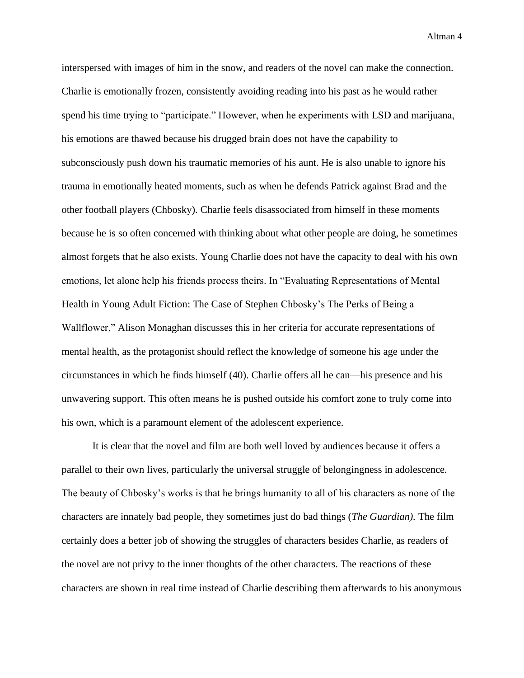interspersed with images of him in the snow, and readers of the novel can make the connection. Charlie is emotionally frozen, consistently avoiding reading into his past as he would rather spend his time trying to "participate." However, when he experiments with LSD and marijuana, his emotions are thawed because his drugged brain does not have the capability to subconsciously push down his traumatic memories of his aunt. He is also unable to ignore his trauma in emotionally heated moments, such as when he defends Patrick against Brad and the other football players (Chbosky). Charlie feels disassociated from himself in these moments because he is so often concerned with thinking about what other people are doing, he sometimes almost forgets that he also exists. Young Charlie does not have the capacity to deal with his own emotions, let alone help his friends process theirs. In "Evaluating Representations of Mental Health in Young Adult Fiction: The Case of Stephen Chbosky's The Perks of Being a Wallflower," Alison Monaghan discusses this in her criteria for accurate representations of mental health, as the protagonist should reflect the knowledge of someone his age under the circumstances in which he finds himself (40). Charlie offers all he can—his presence and his unwavering support. This often means he is pushed outside his comfort zone to truly come into his own, which is a paramount element of the adolescent experience.

It is clear that the novel and film are both well loved by audiences because it offers a parallel to their own lives, particularly the universal struggle of belongingness in adolescence. The beauty of Chbosky's works is that he brings humanity to all of his characters as none of the characters are innately bad people, they sometimes just do bad things (*The Guardian).* The film certainly does a better job of showing the struggles of characters besides Charlie, as readers of the novel are not privy to the inner thoughts of the other characters. The reactions of these characters are shown in real time instead of Charlie describing them afterwards to his anonymous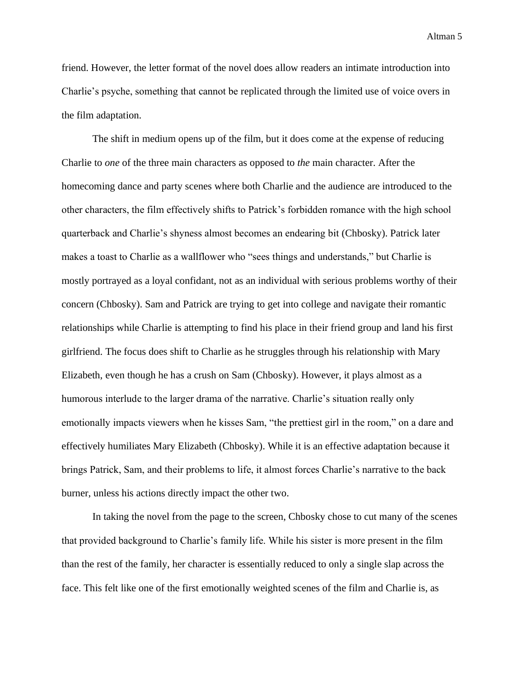friend. However, the letter format of the novel does allow readers an intimate introduction into Charlie's psyche, something that cannot be replicated through the limited use of voice overs in the film adaptation.

The shift in medium opens up of the film, but it does come at the expense of reducing Charlie to *one* of the three main characters as opposed to *the* main character. After the homecoming dance and party scenes where both Charlie and the audience are introduced to the other characters, the film effectively shifts to Patrick's forbidden romance with the high school quarterback and Charlie's shyness almost becomes an endearing bit (Chbosky). Patrick later makes a toast to Charlie as a wallflower who "sees things and understands," but Charlie is mostly portrayed as a loyal confidant, not as an individual with serious problems worthy of their concern (Chbosky). Sam and Patrick are trying to get into college and navigate their romantic relationships while Charlie is attempting to find his place in their friend group and land his first girlfriend. The focus does shift to Charlie as he struggles through his relationship with Mary Elizabeth, even though he has a crush on Sam (Chbosky). However, it plays almost as a humorous interlude to the larger drama of the narrative. Charlie's situation really only emotionally impacts viewers when he kisses Sam, "the prettiest girl in the room," on a dare and effectively humiliates Mary Elizabeth (Chbosky). While it is an effective adaptation because it brings Patrick, Sam, and their problems to life, it almost forces Charlie's narrative to the back burner, unless his actions directly impact the other two.

In taking the novel from the page to the screen, Chbosky chose to cut many of the scenes that provided background to Charlie's family life. While his sister is more present in the film than the rest of the family, her character is essentially reduced to only a single slap across the face. This felt like one of the first emotionally weighted scenes of the film and Charlie is, as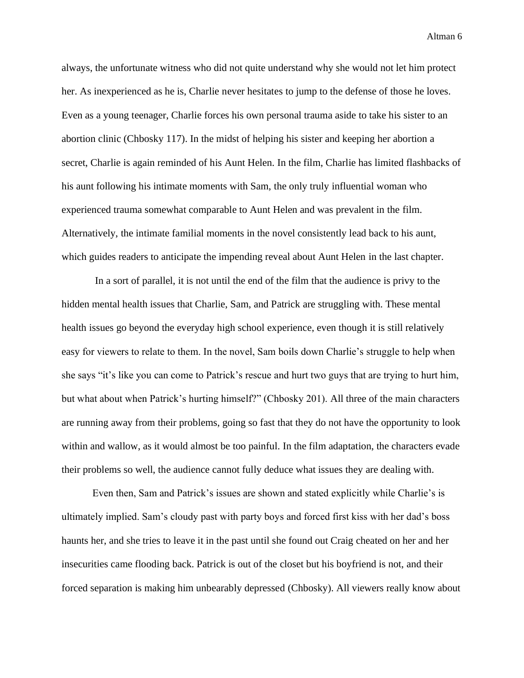always, the unfortunate witness who did not quite understand why she would not let him protect her. As inexperienced as he is, Charlie never hesitates to jump to the defense of those he loves. Even as a young teenager, Charlie forces his own personal trauma aside to take his sister to an abortion clinic (Chbosky 117). In the midst of helping his sister and keeping her abortion a secret, Charlie is again reminded of his Aunt Helen. In the film, Charlie has limited flashbacks of his aunt following his intimate moments with Sam, the only truly influential woman who experienced trauma somewhat comparable to Aunt Helen and was prevalent in the film. Alternatively, the intimate familial moments in the novel consistently lead back to his aunt, which guides readers to anticipate the impending reveal about Aunt Helen in the last chapter.

In a sort of parallel, it is not until the end of the film that the audience is privy to the hidden mental health issues that Charlie, Sam, and Patrick are struggling with. These mental health issues go beyond the everyday high school experience, even though it is still relatively easy for viewers to relate to them. In the novel, Sam boils down Charlie's struggle to help when she says "it's like you can come to Patrick's rescue and hurt two guys that are trying to hurt him, but what about when Patrick's hurting himself?" (Chbosky 201). All three of the main characters are running away from their problems, going so fast that they do not have the opportunity to look within and wallow, as it would almost be too painful. In the film adaptation, the characters evade their problems so well, the audience cannot fully deduce what issues they are dealing with.

Even then, Sam and Patrick's issues are shown and stated explicitly while Charlie's is ultimately implied. Sam's cloudy past with party boys and forced first kiss with her dad's boss haunts her, and she tries to leave it in the past until she found out Craig cheated on her and her insecurities came flooding back. Patrick is out of the closet but his boyfriend is not, and their forced separation is making him unbearably depressed (Chbosky). All viewers really know about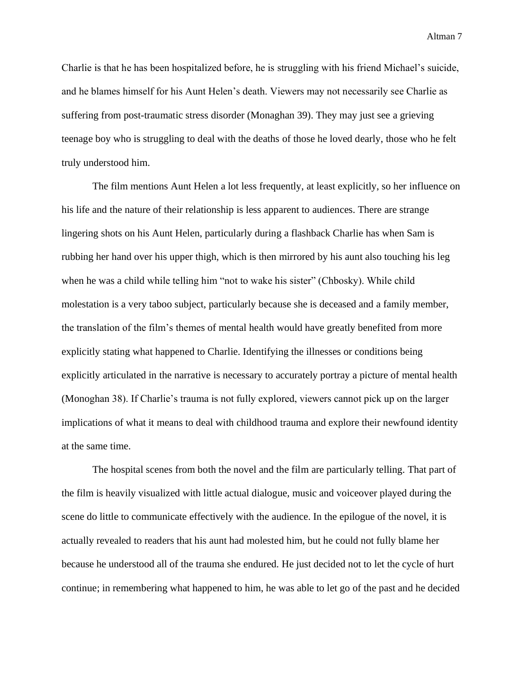Charlie is that he has been hospitalized before, he is struggling with his friend Michael's suicide, and he blames himself for his Aunt Helen's death. Viewers may not necessarily see Charlie as suffering from post-traumatic stress disorder (Monaghan 39). They may just see a grieving teenage boy who is struggling to deal with the deaths of those he loved dearly, those who he felt truly understood him.

The film mentions Aunt Helen a lot less frequently, at least explicitly, so her influence on his life and the nature of their relationship is less apparent to audiences. There are strange lingering shots on his Aunt Helen, particularly during a flashback Charlie has when Sam is rubbing her hand over his upper thigh, which is then mirrored by his aunt also touching his leg when he was a child while telling him "not to wake his sister" (Chbosky). While child molestation is a very taboo subject, particularly because she is deceased and a family member, the translation of the film's themes of mental health would have greatly benefited from more explicitly stating what happened to Charlie. Identifying the illnesses or conditions being explicitly articulated in the narrative is necessary to accurately portray a picture of mental health (Monoghan 38). If Charlie's trauma is not fully explored, viewers cannot pick up on the larger implications of what it means to deal with childhood trauma and explore their newfound identity at the same time.

The hospital scenes from both the novel and the film are particularly telling. That part of the film is heavily visualized with little actual dialogue, music and voiceover played during the scene do little to communicate effectively with the audience. In the epilogue of the novel, it is actually revealed to readers that his aunt had molested him, but he could not fully blame her because he understood all of the trauma she endured. He just decided not to let the cycle of hurt continue; in remembering what happened to him, he was able to let go of the past and he decided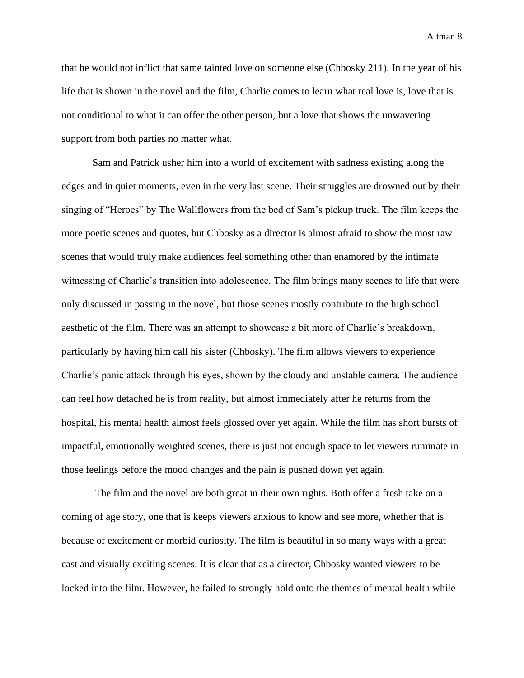that he would not inflict that same tainted love on someone else (Chbosky 211). In the year of his life that is shown in the novel and the film, Charlie comes to learn what real love is, love that is not conditional to what it can offer the other person, but a love that shows the unwavering support from both parties no matter what.

Sam and Patrick usher him into a world of excitement with sadness existing along the edges and in quiet moments, even in the very last scene. Their struggles are drowned out by their singing of "Heroes" by The Wallflowers from the bed of Sam's pickup truck. The film keeps the more poetic scenes and quotes, but Chbosky as a director is almost afraid to show the most raw scenes that would truly make audiences feel something other than enamored by the intimate witnessing of Charlie's transition into adolescence. The film brings many scenes to life that were only discussed in passing in the novel, but those scenes mostly contribute to the high school aesthetic of the film. There was an attempt to showcase a bit more of Charlie's breakdown, particularly by having him call his sister (Chbosky). The film allows viewers to experience Charlie's panic attack through his eyes, shown by the cloudy and unstable camera. The audience can feel how detached he is from reality, but almost immediately after he returns from the hospital, his mental health almost feels glossed over yet again. While the film has short bursts of impactful, emotionally weighted scenes, there is just not enough space to let viewers ruminate in those feelings before the mood changes and the pain is pushed down yet again.

The film and the novel are both great in their own rights. Both offer a fresh take on a coming of age story, one that is keeps viewers anxious to know and see more, whether that is because of excitement or morbid curiosity. The film is beautiful in so many ways with a great cast and visually exciting scenes. It is clear that as a director, Chbosky wanted viewers to be locked into the film. However, he failed to strongly hold onto the themes of mental health while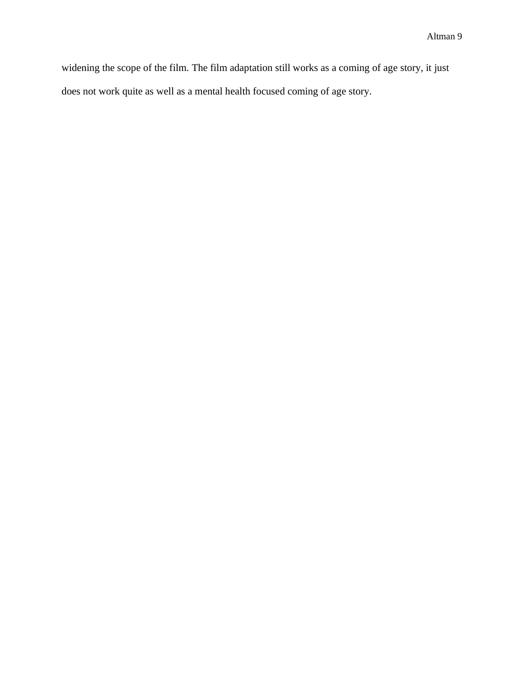widening the scope of the film. The film adaptation still works as a coming of age story, it just does not work quite as well as a mental health focused coming of age story.